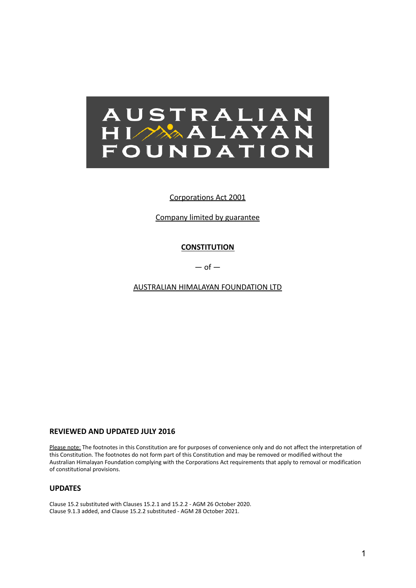

# Corporations Act 2001

Company limited by guarantee

# **CONSTITUTION**

 $-$  of  $-$ 

AUSTRALIAN HIMALAYAN FOUNDATION LTD

# **REVIEWED AND UPDATED JULY 2016**

Please note: The footnotes in this Constitution are for purposes of convenience only and do not affect the interpretation of this Constitution. The footnotes do not form part of this Constitution and may be removed or modified without the Australian Himalayan Foundation complying with the Corporations Act requirements that apply to removal or modification of constitutional provisions.

# **UPDATES**

Clause 15.2 substituted with Clauses 15.2.1 and 15.2.2 - AGM 26 October 2020. Clause 9.1.3 added, and Clause 15.2.2 substituted - AGM 28 October 2021.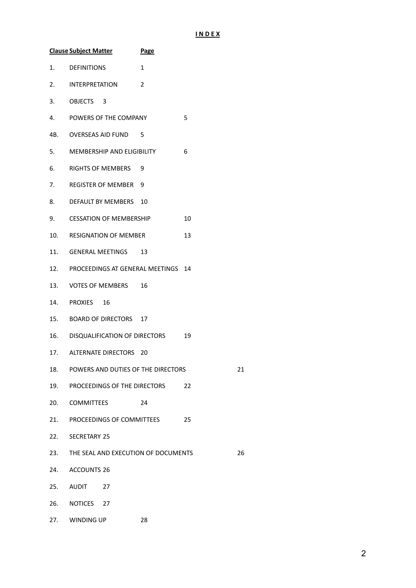# **I N D E X**

|     | <b>Clause Subject Matter</b>           | <b>Page</b> |    |    |
|-----|----------------------------------------|-------------|----|----|
| 1.  | <b>DEFINITIONS</b>                     | 1           |    |    |
| 2.  | <b>INTERPRETATION</b>                  | 2           |    |    |
| 3.  | OBJECTS 3                              |             |    |    |
| 4.  | POWERS OF THE COMPANY                  |             | 5  |    |
| 4B. | OVERSEAS AID FUND                      | 5           |    |    |
| 5.  | MEMBERSHIP AND ELIGIBILITY             |             | 6  |    |
| 6.  | <b>RIGHTS OF MEMBERS</b>               | 9           |    |    |
| 7.  | <b>REGISTER OF MEMBER</b>              | 9           |    |    |
| 8.  | DEFAULT BY MEMBERS 10                  |             |    |    |
| 9.  | <b>CESSATION OF MEMBERSHIP</b>         |             | 10 |    |
| 10. | <b>RESIGNATION OF MEMBER</b>           |             | 13 |    |
|     | 11. GENERAL MEETINGS                   | 13          |    |    |
|     | 12. PROCEEDINGS AT GENERAL MEETINGS    |             | 14 |    |
|     | 13. VOTES OF MEMBERS                   | 16          |    |    |
| 14. | PROXIES 16                             |             |    |    |
|     | 15. BOARD OF DIRECTORS 17              |             |    |    |
|     | 16. DISQUALIFICATION OF DIRECTORS      |             | 19 |    |
|     | 17. ALTERNATE DIRECTORS 20             |             |    |    |
|     | 18. POWERS AND DUTIES OF THE DIRECTORS |             |    | 21 |
| 19. | PROCEEDINGS OF THE DIRECTORS           |             | 22 |    |
|     | 20. COMMITTEES                         | 24          |    |    |
|     | 21. PROCEEDINGS OF COMMITTEES          |             | 25 |    |
| 22. | <b>SECRETARY 25</b>                    |             |    |    |
| 23. | THE SEAL AND EXECUTION OF DOCUMENTS    |             |    | 26 |
| 24. | <b>ACCOUNTS 26</b>                     |             |    |    |
| 25. | AUDIT<br>27                            |             |    |    |
|     | 26. NOTICES 27                         |             |    |    |
| 27. | WINDING UP                             | 28          |    |    |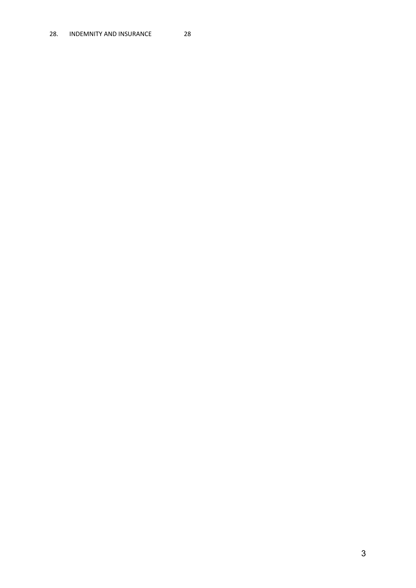## 28. INDEMNITY AND INSURANCE 28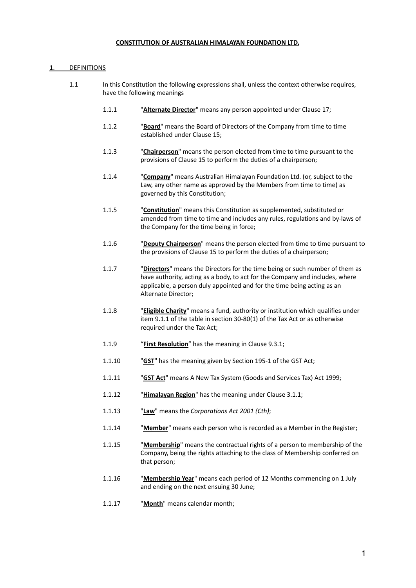#### **CONSTITUTION OF AUSTRALIAN HIMALAYAN FOUNDATION LTD.**

# <span id="page-3-0"></span>**DEFINITIONS**

- 1.1 In this Constitution the following expressions shall, unless the context otherwise requires, have the following meanings
	- 1.1.1 "**Alternate Director**" means any person appointed under Clause 17;
	- 1.1.2 "**Board**" means the Board of Directors of the Company from time to time established under Clause 15;
	- 1.1.3 "**Chairperson**" means the person elected from time to time pursuant to the provisions of Clause 15 to perform the duties of a chairperson;
	- 1.1.4 "**Company**" means Australian Himalayan Foundation Ltd. (or, subject to the Law, any other name as approved by the Members from time to time) as governed by this Constitution;
	- 1.1.5 "**Constitution**" means this Constitution as supplemented, substituted or amended from time to time and includes any rules, regulations and by-laws of the Company for the time being in force;
	- 1.1.6 "**Deputy Chairperson**" means the person elected from time to time pursuant to the provisions of Clause 15 to perform the duties of a chairperson;
	- 1.1.7 "**Directors**" means the Directors for the time being or such number of them as have authority, acting as a body, to act for the Company and includes, where applicable, a person duly appointed and for the time being acting as an Alternate Director;
	- 1.1.8 "**Eligible Charity**" means a fund, authority or institution which qualifies under item 9.1.1 of the table in section 30-80(1) of the Tax Act or as otherwise required under the Tax Act;
	- 1.1.9 "**First Resolution**" has the meaning in Clause 9.3.1;
	- 1.1.10 "**GST**" has the meaning given by Section 195-1 of the GST Act;
	- 1.1.11 "**GST Act**" means A New Tax System (Goods and Services Tax) Act 1999;
	- 1.1.12 "**Himalayan Region**" has the meaning under Clause 3.1.1;
	- 1.1.13 "**Law**" means the *Corporations Act 2001 (Cth)*;
	- 1.1.14 "**Member**" means each person who is recorded as a Member in the Register;
	- 1.1.15 "**Membership**" means the contractual rights of a person to membership of the Company, being the rights attaching to the class of Membership conferred on that person;
	- 1.1.16 "**Membership Year**" means each period of 12 Months commencing on 1 July and ending on the next ensuing 30 June;
	- 1.1.17 "**Month**" means calendar month;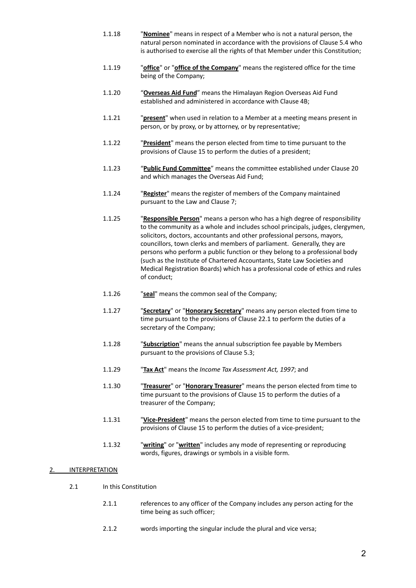- 1.1.18 "**Nominee**" means in respect of a Member who is not a natural person, the natural person nominated in accordance with the provisions of Clause 5.4 who is authorised to exercise all the rights of that Member under this Constitution;
- 1.1.19 "**office**" or "**office of the Company**" means the registered office for the time being of the Company;
- 1.1.20 "**Overseas Aid Fund**" means the Himalayan Region Overseas Aid Fund established and administered in accordance with Clause 4B;
- 1.1.21 "**present**" when used in relation to a Member at a meeting means present in person, or by proxy, or by attorney, or by representative;
- 1.1.22 "**President**" means the person elected from time to time pursuant to the provisions of Clause 15 to perform the duties of a president;
- 1.1.23 "**Public Fund Committee**" means the committee established under Clause 20 and which manages the Overseas Aid Fund;
- 1.1.24 "**Register**" means the register of members of the Company maintained pursuant to the Law and Clause 7;
- 1.1.25 "**Responsible Person**" means a person who has a high degree of responsibility to the community as a whole and includes school principals, judges, clergymen, solicitors, doctors, accountants and other professional persons, mayors, councillors, town clerks and members of parliament. Generally, they are persons who perform a public function or they belong to a professional body (such as the Institute of Chartered Accountants, State Law Societies and Medical Registration Boards) which has a professional code of ethics and rules of conduct;
- 1.1.26 "**seal**" means the common seal of the Company;
- 1.1.27 "**Secretary**" or "**Honorary Secretary**" means any person elected from time to time pursuant to the provisions of Clause 22.1 to perform the duties of a secretary of the Company;
- 1.1.28 "**Subscription**" means the annual subscription fee payable by Members pursuant to the provisions of Clause 5.3;
- 1.1.29 "**Tax Act**" means the *Income Tax Assessment Act, 1997*; and
- 1.1.30 "**Treasurer**" or "**Honorary Treasurer**" means the person elected from time to time pursuant to the provisions of Clause 15 to perform the duties of a treasurer of the Company;
- 1.1.31 "**Vice-President**" means the person elected from time to time pursuant to the provisions of Clause 15 to perform the duties of a vice-president;
- 1.1.32 "**writing**" or "**written**" includes any mode of representing or reproducing words, figures, drawings or symbols in a visible form.

# 2. **INTERPRETATION**

- 2.1 In this Constitution
	- 2.1.1 references to any officer of the Company includes any person acting for the time being as such officer;
	- 2.1.2 words importing the singular include the plural and vice versa;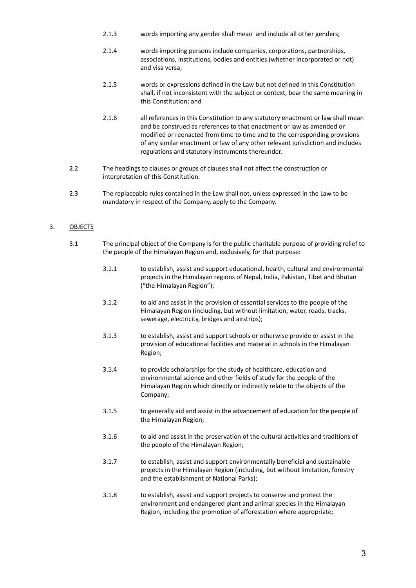- 2.1.3 words importing any gender shall mean and include all other genders;
- 2.1.4 words importing persons include companies, corporations, partnerships, associations, institutions, bodies and entities (whether incorporated or not) and visa versa;
- 2.1.5 words or expressions defined in the Law but not defined in this Constitution shall, if not inconsistent with the subject or context, bear the same meaning in this Constitution; and
- 2.1.6 all references in this Constitution to any statutory enactment or law shall mean and be construed as references to that enactment or law as amended or modified or reenacted from time to time and to the corresponding provisions of any similar enactment or law of any other relevant jurisdiction and includes regulations and statutory instruments thereunder.
- 2.2 The headings to clauses or groups of clauses shall not affect the construction or interpretation of this Constitution.
- 2.3 The replaceable rules contained in the Law shall not, unless expressed in the Law to be mandatory in respect of the Company, apply to the Company.

# 3. OBJECTS

- 3.1 The principal object of the Company is for the public charitable purpose of providing relief to the people of the Himalayan Region and, exclusively, for that purpose:
	- 3.1.1 to establish, assist and support educational, health, cultural and environmental projects in the Himalayan regions of Nepal, India, Pakistan, Tibet and Bhutan ("the Himalayan Region");
	- 3.1.2 to aid and assist in the provision of essential services to the people of the Himalayan Region (including, but without limitation, water, roads, tracks, sewerage, electricity, bridges and airstrips);
	- 3.1.3 to establish, assist and support schools or otherwise provide or assist in the provision of educational facilities and material in schools in the Himalayan Region;
	- 3.1.4 to provide scholarships for the study of healthcare, education and environmental science and other fields of study for the people of the Himalayan Region which directly or indirectly relate to the objects of the Company;
	- 3.1.5 to generally aid and assist in the advancement of education for the people of the Himalayan Region;
	- 3.1.6 to aid and assist in the preservation of the cultural activities and traditions of the people of the Himalayan Region;
	- 3.1.7 to establish, assist and support environmentally beneficial and sustainable projects in the Himalayan Region (including, but without limitation, forestry and the establishment of National Parks);
	- 3.1.8 to establish, assist and support projects to conserve and protect the environment and endangered plant and animal species in the Himalayan Region, including the promotion of afforestation where appropriate;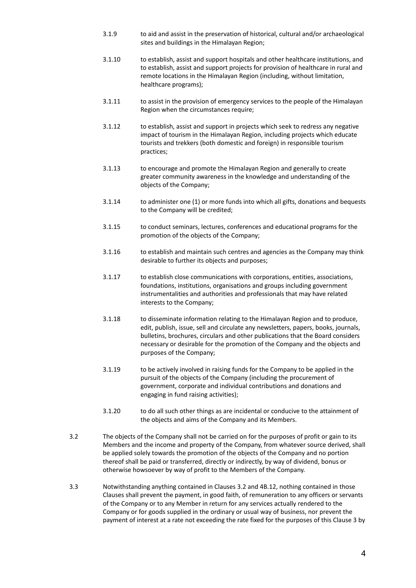- 3.1.9 to aid and assist in the preservation of historical, cultural and/or archaeological sites and buildings in the Himalayan Region;
- 3.1.10 to establish, assist and support hospitals and other healthcare institutions, and to establish, assist and support projects for provision of healthcare in rural and remote locations in the Himalayan Region (including, without limitation, healthcare programs);
- 3.1.11 to assist in the provision of emergency services to the people of the Himalayan Region when the circumstances require;
- 3.1.12 to establish, assist and support in projects which seek to redress any negative impact of tourism in the Himalayan Region, including projects which educate tourists and trekkers (both domestic and foreign) in responsible tourism practices;
- 3.1.13 to encourage and promote the Himalayan Region and generally to create greater community awareness in the knowledge and understanding of the objects of the Company;
- 3.1.14 to administer one (1) or more funds into which all gifts, donations and bequests to the Company will be credited;
- 3.1.15 to conduct seminars, lectures, conferences and educational programs for the promotion of the objects of the Company;
- 3.1.16 to establish and maintain such centres and agencies as the Company may think desirable to further its objects and purposes;
- 3.1.17 to establish close communications with corporations, entities, associations, foundations, institutions, organisations and groups including government instrumentalities and authorities and professionals that may have related interests to the Company;
- 3.1.18 to disseminate information relating to the Himalayan Region and to produce, edit, publish, issue, sell and circulate any newsletters, papers, books, journals, bulletins, brochures, circulars and other publications that the Board considers necessary or desirable for the promotion of the Company and the objects and purposes of the Company;
- 3.1.19 to be actively involved in raising funds for the Company to be applied in the pursuit of the objects of the Company (including the procurement of government, corporate and individual contributions and donations and engaging in fund raising activities);
- 3.1.20 to do all such other things as are incidental or conducive to the attainment of the objects and aims of the Company and its Members.
- 3.2 The objects of the Company shall not be carried on for the purposes of profit or gain to its Members and the income and property of the Company, from whatever source derived, shall be applied solely towards the promotion of the objects of the Company and no portion thereof shall be paid or transferred, directly or indirectly, by way of dividend, bonus or otherwise howsoever by way of profit to the Members of the Company.
- 3.3 Notwithstanding anything contained in Clauses 3.2 and 4B.12, nothing contained in those Clauses shall prevent the payment, in good faith, of remuneration to any officers or servants of the Company or to any Member in return for any services actually rendered to the Company or for goods supplied in the ordinary or usual way of business, nor prevent the payment of interest at a rate not exceeding the rate fixed for the purposes of this Clause 3 by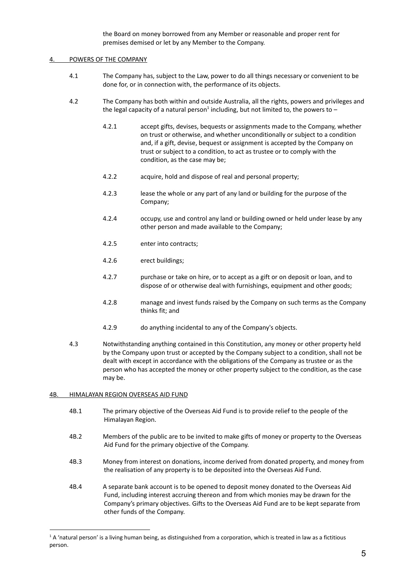the Board on money borrowed from any Member or reasonable and proper rent for premises demised or let by any Member to the Company.

## POWERS OF THE COMPANY

- 4.1 The Company has, subject to the Law, power to do all things necessary or convenient to be done for, or in connection with, the performance of its objects.
- 4.2 The Company has both within and outside Australia, all the rights, powers and privileges and the legal capacity of a natural person<sup>1</sup> including, but not limited to, the powers to  $-$ 
	- 4.2.1 accept gifts, devises, bequests or assignments made to the Company, whether on trust or otherwise, and whether unconditionally or subject to a condition and, if a gift, devise, bequest or assignment is accepted by the Company on trust or subject to a condition, to act as trustee or to comply with the condition, as the case may be;
	- 4.2.2 acquire, hold and dispose of real and personal property;
	- 4.2.3 lease the whole or any part of any land or building for the purpose of the Company;
	- 4.2.4 occupy, use and control any land or building owned or held under lease by any other person and made available to the Company;
	- 4.2.5 enter into contracts;
	- 4.2.6 erect buildings;
	- 4.2.7 purchase or take on hire, or to accept as a gift or on deposit or loan, and to dispose of or otherwise deal with furnishings, equipment and other goods;
	- 4.2.8 manage and invest funds raised by the Company on such terms as the Company thinks fit; and
	- 4.2.9 do anything incidental to any of the Company's objects.
- 4.3 Notwithstanding anything contained in this Constitution, any money or other property held by the Company upon trust or accepted by the Company subject to a condition, shall not be dealt with except in accordance with the obligations of the Company as trustee or as the person who has accepted the money or other property subject to the condition, as the case may be.

## <span id="page-7-0"></span>4B. HIMALAYAN REGION OVERSEAS AID FUND

- 4B.1 The primary objective of the Overseas Aid Fund is to provide relief to the people of the Himalayan Region.
- 4B.2 Members of the public are to be invited to make gifts of money or property to the Overseas Aid Fund for the primary objective of the Company.
- 4B.3 Money from interest on donations, income derived from donated property, and money from the realisation of any property is to be deposited into the Overseas Aid Fund.
- 4B.4 A separate bank account is to be opened to deposit money donated to the Overseas Aid Fund, including interest accruing thereon and from which monies may be drawn for the Company's primary objectives. Gifts to the Overseas Aid Fund are to be kept separate from other funds of the Company.

<sup>&</sup>lt;sup>1</sup> A 'natural person' is a living human being, as distinguished from a corporation, which is treated in law as a fictitious person.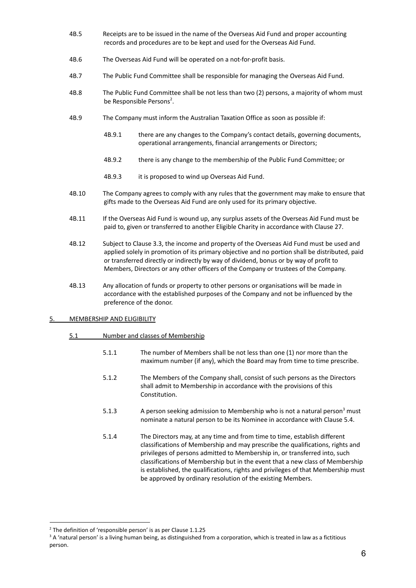- 4B.5 Receipts are to be issued in the name of the Overseas Aid Fund and proper accounting records and procedures are to be kept and used for the Overseas Aid Fund.
- 4B.6 The Overseas Aid Fund will be operated on a not-for-profit basis.
- 4B.7 The Public Fund Committee shall be responsible for managing the Overseas Aid Fund.
- 4B.8 The Public Fund Committee shall be not less than two (2) persons, a majority of whom must be Responsible Persons<sup>2</sup>.
- 4B.9 The Company must inform the Australian Taxation Office as soon as possible if:
	- 4B.9.1 there are any changes to the Company's contact details, governing documents, operational arrangements, financial arrangements or Directors;
	- 4B.9.2 there is any change to the membership of the Public Fund Committee; or
	- 4B.9.3 it is proposed to wind up Overseas Aid Fund.
- 4B.10 The Company agrees to comply with any rules that the government may make to ensure that gifts made to the Overseas Aid Fund are only used for its primary objective.
- 4B.11 If the Overseas Aid Fund is wound up, any surplus assets of the Overseas Aid Fund must be paid to, given or transferred to another Eligible Charity in accordance with Clause 27.
- 4B.12 Subject to Clause 3.3, the income and property of the Overseas Aid Fund must be used and applied solely in promotion of its primary objective and no portion shall be distributed, paid or transferred directly or indirectly by way of dividend, bonus or by way of profit to Members, Directors or any other officers of the Company or trustees of the Company.
- 4B.13 Any allocation of funds or property to other persons or organisations will be made in accordance with the established purposes of the Company and not be influenced by the preference of the donor.
- <span id="page-8-0"></span>5. MEMBERSHIP AND ELIGIBILITY
	- 5.1 Number and classes of Membership
		- 5.1.1 The number of Members shall be not less than one (1) nor more than the maximum number (if any), which the Board may from time to time prescribe.
		- 5.1.2 The Members of the Company shall, consist of such persons as the Directors shall admit to Membership in accordance with the provisions of this Constitution.
		- 5.1.3  $\blacksquare$  A person seeking admission to Membership who is not a natural person<sup>3</sup> must nominate a natural person to be its Nominee in accordance with Clause 5.4.
		- 5.1.4 The Directors may, at any time and from time to time, establish different classifications of Membership and may prescribe the qualifications, rights and privileges of persons admitted to Membership in, or transferred into, such classifications of Membership but in the event that a new class of Membership is established, the qualifications, rights and privileges of that Membership must be approved by ordinary resolution of the existing Members.

<sup>&</sup>lt;sup>2</sup> The definition of 'responsible person' is as per Clause 1.1.25

<sup>&</sup>lt;sup>3</sup> A 'natural person' is a living human being, as distinguished from a corporation, which is treated in law as a fictitious person.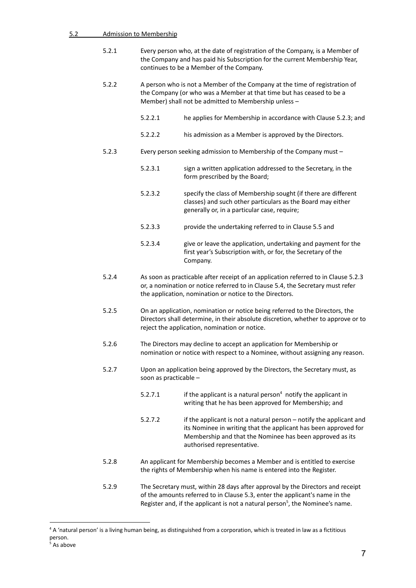- 5.2.1 Every person who, at the date of registration of the Company, is a Member of the Company and has paid his Subscription for the current Membership Year, continues to be a Member of the Company.
- 5.2.2 A person who is not a Member of the Company at the time of registration of the Company (or who was a Member at that time but has ceased to be a Member) shall not be admitted to Membership unless –
	- 5.2.2.1 he applies for Membership in accordance with Clause 5.2.3; and
	- 5.2.2.2 his admission as a Member is approved by the Directors.
- 5.2.3 Every person seeking admission to Membership of the Company must
	- 5.2.3.1 sign a written application addressed to the Secretary, in the form prescribed by the Board;
	- 5.2.3.2 specify the class of Membership sought (if there are different classes) and such other particulars as the Board may either generally or, in a particular case, require;
	- 5.2.3.3 provide the undertaking referred to in Clause 5.5 and
	- 5.2.3.4 give or leave the application, undertaking and payment for the first year's Subscription with, or for, the Secretary of the Company.
- 5.2.4 As soon as practicable after receipt of an application referred to in Clause 5.2.3 or, a nomination or notice referred to in Clause 5.4, the Secretary must refer the application, nomination or notice to the Directors.
- 5.2.5 On an application, nomination or notice being referred to the Directors, the Directors shall determine, in their absolute discretion, whether to approve or to reject the application, nomination or notice.
- 5.2.6 The Directors may decline to accept an application for Membership or nomination or notice with respect to a Nominee, without assigning any reason.
- 5.2.7 Upon an application being approved by the Directors, the Secretary must, as soon as practicable –
	- 5.2.7.1 if the applicant is a natural person<sup>4</sup> notify the applicant in writing that he has been approved for Membership; and
	- 5.2.7.2 if the applicant is not a natural person notify the applicant and its Nominee in writing that the applicant has been approved for Membership and that the Nominee has been approved as its authorised representative.
- 5.2.8 An applicant for Membership becomes a Member and is entitled to exercise the rights of Membership when his name is entered into the Register.
- 5.2.9 The Secretary must, within 28 days after approval by the Directors and receipt of the amounts referred to in Clause 5.3, enter the applicant's name in the Register and, if the applicant is not a natural person<sup>5</sup>, the Nominee's name.

<sup>&</sup>lt;sup>4</sup> A 'natural person' is a living human being, as distinguished from a corporation, which is treated in law as a fictitious person.

<sup>&</sup>lt;sup>5</sup> As above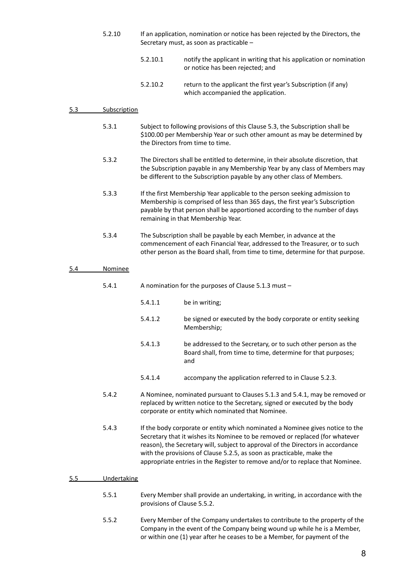- 5.2.10 If an application, nomination or notice has been rejected by the Directors, the Secretary must, as soon as practicable –
	- 5.2.10.1 notify the applicant in writing that his application or nomination or notice has been rejected; and
	- 5.2.10.2 return to the applicant the first year's Subscription (if any) which accompanied the application.

#### 5.3 Subscription

- 5.3.1 Subject to following provisions of this Clause 5.3, the Subscription shall be \$100.00 per Membership Year or such other amount as may be determined by the Directors from time to time.
- 5.3.2 The Directors shall be entitled to determine, in their absolute discretion, that the Subscription payable in any Membership Year by any class of Members may be different to the Subscription payable by any other class of Members.
- 5.3.3 If the first Membership Year applicable to the person seeking admission to Membership is comprised of less than 365 days, the first year's Subscription payable by that person shall be apportioned according to the number of days remaining in that Membership Year.
- 5.3.4 The Subscription shall be payable by each Member, in advance at the commencement of each Financial Year, addressed to the Treasurer, or to such other person as the Board shall, from time to time, determine for that purpose.

#### 5.4 Nominee

- 5.4.1 A nomination for the purposes of Clause 5.1.3 must
	- 5.4.1.1 be in writing;
	- 5.4.1.2 be signed or executed by the body corporate or entity seeking Membership;
	- 5.4.1.3 be addressed to the Secretary, or to such other person as the Board shall, from time to time, determine for that purposes; and
	- 5.4.1.4 accompany the application referred to in Clause 5.2.3.
- 5.4.2 A Nominee, nominated pursuant to Clauses 5.1.3 and 5.4.1, may be removed or replaced by written notice to the Secretary, signed or executed by the body corporate or entity which nominated that Nominee.

5.4.3 If the body corporate or entity which nominated a Nominee gives notice to the Secretary that it wishes its Nominee to be removed or replaced (for whatever reason), the Secretary will, subject to approval of the Directors in accordance with the provisions of Clause 5.2.5, as soon as practicable, make the appropriate entries in the Register to remove and/or to replace that Nominee.

# 5.5 Undertaking

- 5.5.1 Every Member shall provide an undertaking, in writing, in accordance with the provisions of Clause 5.5.2.
- 5.5.2 Every Member of the Company undertakes to contribute to the property of the Company in the event of the Company being wound up while he is a Member, or within one (1) year after he ceases to be a Member, for payment of the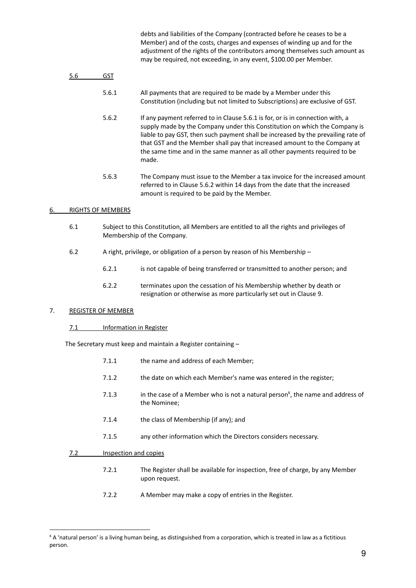debts and liabilities of the Company (contracted before he ceases to be a Member) and of the costs, charges and expenses of winding up and for the adjustment of the rights of the contributors among themselves such amount as may be required, not exceeding, in any event, \$100.00 per Member.

| 5.6 | GST   |                                                                                                                                                                                                                                                                                                                                                                                                                      |
|-----|-------|----------------------------------------------------------------------------------------------------------------------------------------------------------------------------------------------------------------------------------------------------------------------------------------------------------------------------------------------------------------------------------------------------------------------|
|     | 5.6.1 | All payments that are required to be made by a Member under this<br>Constitution (including but not limited to Subscriptions) are exclusive of GST.                                                                                                                                                                                                                                                                  |
|     | 5.6.2 | If any payment referred to in Clause 5.6.1 is for, or is in connection with, a<br>supply made by the Company under this Constitution on which the Company is<br>liable to pay GST, then such payment shall be increased by the prevailing rate of<br>that GST and the Member shall pay that increased amount to the Company at<br>the same time and in the same manner as all other payments required to be<br>made. |
|     | 5.6.3 | The Company must issue to the Member a tax invoice for the increased amount<br>referred to in Clause 5.6.2 within 14 days from the date that the increased<br>amount is required to be paid by the Member.                                                                                                                                                                                                           |

# <span id="page-11-0"></span>6. RIGHTS OF MEMBERS

- 6.1 Subject to this Constitution, all Members are entitled to all the rights and privileges of Membership of the Company.
- 6.2 A right, privilege, or obligation of a person by reason of his Membership
	- 6.2.1 is not capable of being transferred or transmitted to another person; and
	- 6.2.2 terminates upon the cessation of his Membership whether by death or resignation or otherwise as more particularly set out in Clause 9.

# 7. REGISTER OF MEMBER

 $7.2$ 

# 7.1 Information in Register

The Secretary must keep and maintain a Register containing –

| 7.1.1                 | the name and address of each Member;                                                                       |
|-----------------------|------------------------------------------------------------------------------------------------------------|
| 7.1.2                 | the date on which each Member's name was entered in the register;                                          |
| 7.1.3                 | in the case of a Member who is not a natural person <sup>6</sup> , the name and address of<br>the Nominee; |
| 7.1.4                 | the class of Membership (if any); and                                                                      |
| 7.1.5                 | any other information which the Directors considers necessary.                                             |
| Inspection and copies |                                                                                                            |
| 7.2.1                 | The Register shall be available for inspection, free of charge, by any Member<br>upon request.             |

7.2.2 A Member may make a copy of entries in the Register.

<span id="page-11-1"></span><sup>&</sup>lt;sup>6</sup> A 'natural person' is a living human being, as distinguished from a corporation, which is treated in law as a fictitious person.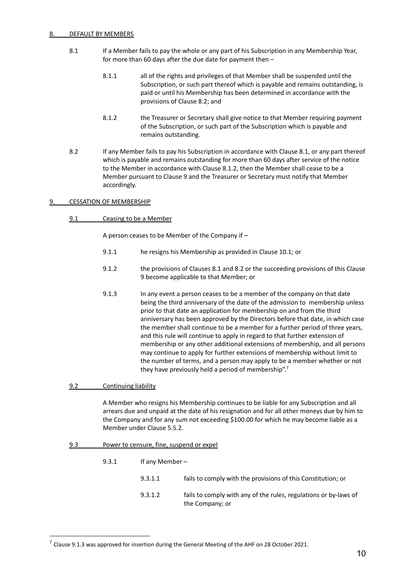### DEFAULT BY MEMBERS

- 8.1 If a Member fails to pay the whole or any part of his Subscription in any Membership Year, for more than 60 days after the due date for payment then –
	- 8.1.1 all of the rights and privileges of that Member shall be suspended until the Subscription, or such part thereof which is payable and remains outstanding, is paid or until his Membership has been determined in accordance with the provisions of Clause 8.2; and
	- 8.1.2 the Treasurer or Secretary shall give notice to that Member requiring payment of the Subscription, or such part of the Subscription which is payable and remains outstanding.
- 8.2 If any Member fails to pay his Subscription in accordance with Clause 8.1, or any part thereof which is payable and remains outstanding for more than 60 days after service of the notice to the Member in accordance with Clause 8.1.2, then the Member shall cease to be a Member pursuant to Clause 9 and the Treasurer or Secretary must notify that Member accordingly.

## 9. CESSATION OF MEMBERSHIP

9.1 Ceasing to be a Member

A person ceases to be Member of the Company if –

- 9.1.1 he resigns his Membership as provided in Clause 10.1; or
- 9.1.2 the provisions of Clauses 8.1 and 8.2 or the succeeding provisions of this Clause 9 become applicable to that Member; or
- 9.1.3 In any event a person ceases to be a member of the company on that date being the third anniversary of the date of the admission to membership unless prior to that date an application for membership on and from the third anniversary has been approved by the Directors before that date, in which case the member shall continue to be a member for a further period of three years, and this rule will continue to apply in regard to that further extension of membership or any other additional extensions of membership, and all persons may continue to apply for further extensions of membership without limit to the number of terms, and a person may apply to be a member whether or not they have previously held a period of membership".<sup>7</sup>
- 9.2 Continuing liability

A Member who resigns his Membership continues to be liable for any Subscription and all arrears due and unpaid at the date of his resignation and for all other moneys due by him to the Company and for any sum not exceeding \$100.00 for which he may become liable as a Member under Clause 5.5.2.

9.3 Power to censure, fine, suspend or expel

| 9.3.1 | If any Member $-$ |                                                                                     |
|-------|-------------------|-------------------------------------------------------------------------------------|
|       | 9.3.1.1           | fails to comply with the provisions of this Constitution; or                        |
|       | 9.3.1.2           | fails to comply with any of the rules, regulations or by-laws of<br>the Company; or |

 $7$  Clause 9.1.3 was approved for insertion during the General Meeting of the AHF on 28 October 2021.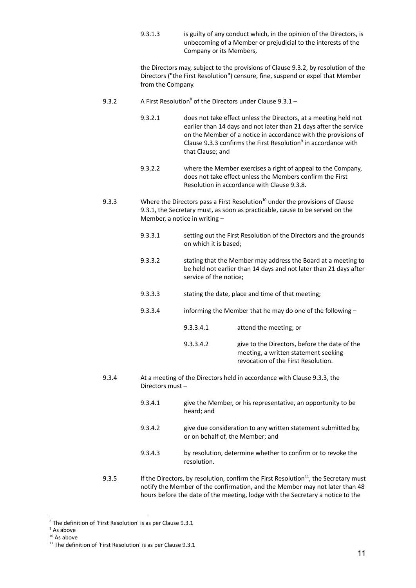9.3.1.3 is guilty of any conduct which, in the opinion of the Directors, is unbecoming of a Member or prejudicial to the interests of the Company or its Members,

the Directors may, subject to the provisions of Clause 9.3.2, by resolution of the Directors ("the First Resolution") censure, fine, suspend or expel that Member from the Company.

- 9.3.2 A First Resolution<sup>8</sup> of the Directors under Clause  $9.3.1 -$ 
	- 9.3.2.1 does not take effect unless the Directors, at a meeting held not earlier than 14 days and not later than 21 days after the service on the Member of a notice in accordance with the provisions of Clause 9.3.3 confirms the First Resolution<sup>9</sup> in accordance with that Clause; and
	- 9.3.2.2 where the Member exercises a right of appeal to the Company, does not take effect unless the Members confirm the First Resolution in accordance with Clause 9.3.8.
- 9.3.3 Where the Directors pass a First Resolution<sup>10</sup> under the provisions of Clause 9.3.1, the Secretary must, as soon as practicable, cause to be served on the Member, a notice in writing –
	- 9.3.3.1 setting out the First Resolution of the Directors and the grounds on which it is based;
	- 9.3.3.2 stating that the Member may address the Board at a meeting to be held not earlier than 14 days and not later than 21 days after service of the notice;
	- 9.3.3.3 stating the date, place and time of that meeting;
	- 9.3.3.4 informing the Member that he may do one of the following
		- 9.3.3.4.1 attend the meeting; or

## 9.3.3.4.2 give to the Directors, before the date of the meeting, a written statement seeking revocation of the First Resolution.

- 9.3.4 At a meeting of the Directors held in accordance with Clause 9.3.3, the Directors must –
	- 9.3.4.1 give the Member, or his representative, an opportunity to be heard; and
	- 9.3.4.2 give due consideration to any written statement submitted by, or on behalf of, the Member; and
	- 9.3.4.3 by resolution, determine whether to confirm or to revoke the resolution.
- 9.3.5 If the Directors, by resolution, confirm the First Resolution<sup>11</sup>, the Secretary must notify the Member of the confirmation, and the Member may not later than 48 hours before the date of the meeting, lodge with the Secretary a notice to the

<sup>8</sup> The definition of 'First Resolution' is as per Clause 9.3.1

<sup>&</sup>lt;sup>9</sup> As above

 $10$  As above

 $11$  The definition of 'First Resolution' is as per Clause 9.3.1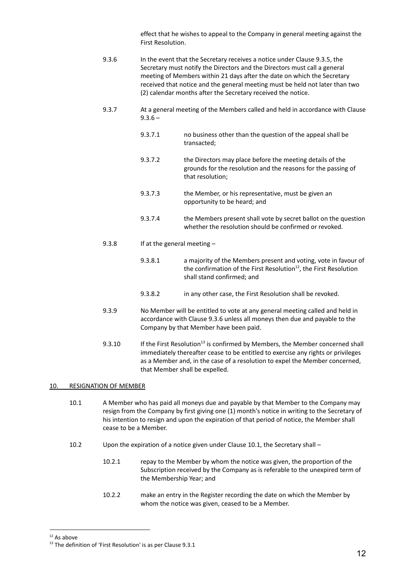effect that he wishes to appeal to the Company in general meeting against the First Resolution.

- 9.3.6 In the event that the Secretary receives a notice under Clause 9.3.5, the Secretary must notify the Directors and the Directors must call a general meeting of Members within 21 days after the date on which the Secretary received that notice and the general meeting must be held not later than two (2) calendar months after the Secretary received the notice.
- 9.3.7 At a general meeting of the Members called and held in accordance with Clause  $9.3.6 -$ 
	- 9.3.7.1 no business other than the question of the appeal shall be transacted;
	- 9.3.7.2 the Directors may place before the meeting details of the grounds for the resolution and the reasons for the passing of that resolution;
	- 9.3.7.3 the Member, or his representative, must be given an opportunity to be heard; and
	- 9.3.7.4 the Members present shall vote by secret ballot on the question whether the resolution should be confirmed or revoked.
- 9.3.8 If at the general meeting
	- 9.3.8.1 a majority of the Members present and voting, vote in favour of the confirmation of the First Resolution<sup>12</sup>, the First Resolution shall stand confirmed; and
	- 9.3.8.2 in any other case, the First Resolution shall be revoked.
- 9.3.9 No Member will be entitled to vote at any general meeting called and held in accordance with Clause 9.3.6 unless all moneys then due and payable to the Company by that Member have been paid.
- 9.3.10 If the First Resolution<sup>13</sup> is confirmed by Members, the Member concerned shall immediately thereafter cease to be entitled to exercise any rights or privileges as a Member and, in the case of a resolution to expel the Member concerned, that Member shall be expelled.

## 10. RESIGNATION OF MEMBER

- 10.1 A Member who has paid all moneys due and payable by that Member to the Company may resign from the Company by first giving one (1) month's notice in writing to the Secretary of his intention to resign and upon the expiration of that period of notice, the Member shall cease to be a Member.
- 10.2 Upon the expiration of a notice given under Clause 10.1, the Secretary shall
	- 10.2.1 repay to the Member by whom the notice was given, the proportion of the Subscription received by the Company as is referable to the unexpired term of the Membership Year; and
	- 10.2.2 make an entry in the Register recording the date on which the Member by whom the notice was given, ceased to be a Member.

<span id="page-14-0"></span> $12$  As above

<sup>&</sup>lt;sup>13</sup> The definition of 'First Resolution' is as per Clause 9.3.1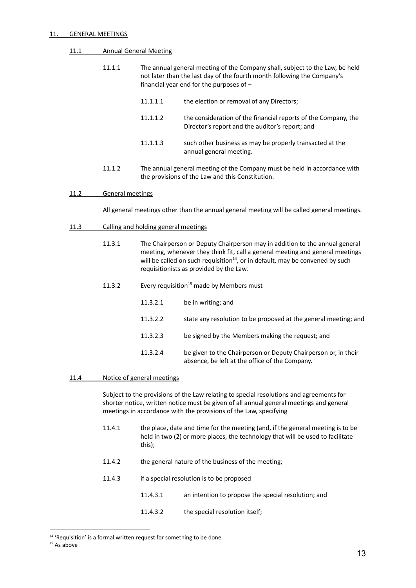#### 11. **GENERAL MEETINGS**

### 11.1 Annual General Meeting

| 11.1.1 |          | The annual general meeting of the Company shall, subject to the Law, be held<br>not later than the last day of the fourth month following the Company's<br>financial year end for the purposes of $-$ |
|--------|----------|-------------------------------------------------------------------------------------------------------------------------------------------------------------------------------------------------------|
|        | 11.1.1.1 | the election or removal of any Directors;                                                                                                                                                             |
|        | 11 1 1 2 | the consideration of the financial reports of the Company, the                                                                                                                                        |

11.1.1.3 such other business as may be properly transacted at the annual general meeting.

Director's report and the auditor's report; and

11.1.2 The annual general meeting of the Company must be held in accordance with the provisions of the Law and this Constitution.

#### 11.2 General meetings

All general meetings other than the annual general meeting will be called general meetings.

#### 11.3 Calling and holding general meetings

- 11.3.1 The Chairperson or Deputy Chairperson may in addition to the annual general meeting, whenever they think fit, call a general meeting and general meetings will be called on such requisition<sup>14</sup>, or in default, may be convened by such requisitionists as provided by the Law.
- 11.3.2 Every requisition<sup>15</sup> made by Members must
	- 11.3.2.1 be in writing; and
	- 11.3.2.2 state any resolution to be proposed at the general meeting; and
	- 11.3.2.3 be signed by the Members making the request; and
	- 11.3.2.4 be given to the Chairperson or Deputy Chairperson or, in their absence, be left at the office of the Company.

#### 11.4 Notice of general meetings

Subject to the provisions of the Law relating to special resolutions and agreements for shorter notice, written notice must be given of all annual general meetings and general meetings in accordance with the provisions of the Law, specifying

- 11.4.1 the place, date and time for the meeting (and, if the general meeting is to be held in two (2) or more places, the technology that will be used to facilitate this);
- 11.4.2 the general nature of the business of the meeting;
- 11.4.3 if a special resolution is to be proposed
	- 11.4.3.1 an intention to propose the special resolution; and
	- 11.4.3.2 the special resolution itself;

<sup>&</sup>lt;sup>14</sup> 'Requisition' is a formal written request for something to be done.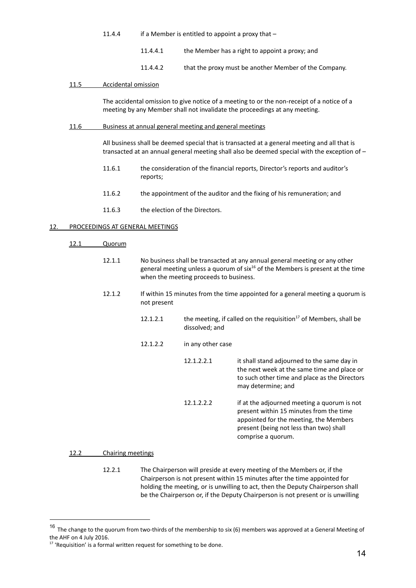| 11.4.4 | if a Member is entitled to appoint a proxy that $-$ |
|--------|-----------------------------------------------------|
|--------|-----------------------------------------------------|

- 11.4.4.1 the Member has a right to appoint a proxy; and
- 11.4.4.2 that the proxy must be another Member of the Company.

## 11.5 Accidental omission

The accidental omission to give notice of a meeting to or the non-receipt of a notice of a meeting by any Member shall not invalidate the proceedings at any meeting.

#### 11.6 Business at annual general meeting and general meetings

All business shall be deemed special that is transacted at a general meeting and all that is transacted at an annual general meeting shall also be deemed special with the exception of –

- 11.6.1 the consideration of the financial reports, Director's reports and auditor's reports;
- 11.6.2 the appointment of the auditor and the fixing of his remuneration; and
- 11.6.3 the election of the Directors.

## <span id="page-16-0"></span>12. PROCEEDINGS AT GENERAL MEETINGS

- 12.1 Quorum
	- 12.1.1 No business shall be transacted at any annual general meeting or any other general meeting unless a quorum of six<sup>16</sup> of the Members is present at the time when the meeting proceeds to business.
	- 12.1.2 If within 15 minutes from the time appointed for a general meeting a quorum is not present
		- 12.1.2.1 the meeting, if called on the requisition<sup>17</sup> of Members, shall be dissolved; and
		- 12.1.2.2 in any other case

| 12.1.2.2.1 | it shall stand adjourned to the same day in<br>the next week at the same time and place or<br>to such other time and place as the Directors<br>may determine; and           |
|------------|-----------------------------------------------------------------------------------------------------------------------------------------------------------------------------|
| 12.1.2.2.2 | if at the adjourned meeting a quorum is not<br>present within 15 minutes from the time<br>appointed for the meeting, the Members<br>present (being not less than two) shall |

comprise a quorum.

#### 12.2 Chairing meetings

12.2.1 The Chairperson will preside at every meeting of the Members or, if the Chairperson is not present within 15 minutes after the time appointed for holding the meeting, or is unwilling to act, then the Deputy Chairperson shall be the Chairperson or, if the Deputy Chairperson is not present or is unwilling

<sup>&</sup>lt;sup>16</sup> The change to the quorum from two-thirds of the membership to six (6) members was approved at a General Meeting of the AHF on 4 July 2016.

<sup>&</sup>lt;sup>17</sup> 'Requisition' is a formal written request for something to be done.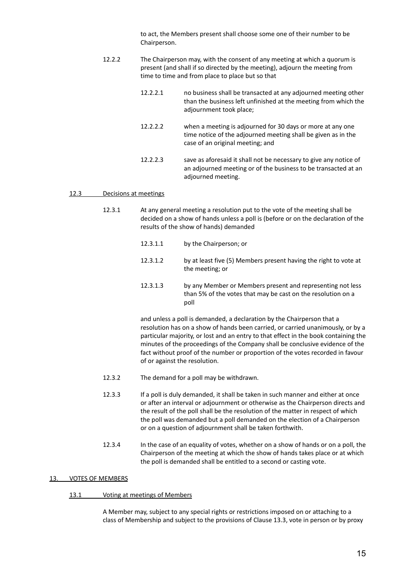to act, the Members present shall choose some one of their number to be Chairperson.

- 12.2.2 The Chairperson may, with the consent of any meeting at which a quorum is present (and shall if so directed by the meeting), adjourn the meeting from time to time and from place to place but so that
	- 12.2.2.1 no business shall be transacted at any adjourned meeting other than the business left unfinished at the meeting from which the adjournment took place;
	- 12.2.2.2 when a meeting is adjourned for 30 days or more at any one time notice of the adjourned meeting shall be given as in the case of an original meeting; and
	- 12.2.2.3 save as aforesaid it shall not be necessary to give any notice of an adjourned meeting or of the business to be transacted at an adjourned meeting.

#### 12.3 Decisions at meetings

- 12.3.1 At any general meeting a resolution put to the vote of the meeting shall be decided on a show of hands unless a poll is (before or on the declaration of the results of the show of hands) demanded
	- 12.3.1.1 by the Chairperson; or
	- 12.3.1.2 by at least five (5) Members present having the right to vote at the meeting; or
	- 12.3.1.3 by any Member or Members present and representing not less than 5% of the votes that may be cast on the resolution on a poll

and unless a poll is demanded, a declaration by the Chairperson that a resolution has on a show of hands been carried, or carried unanimously, or by a particular majority, or lost and an entry to that effect in the book containing the minutes of the proceedings of the Company shall be conclusive evidence of the fact without proof of the number or proportion of the votes recorded in favour of or against the resolution.

- 12.3.2 The demand for a poll may be withdrawn.
- 12.3.3 If a poll is duly demanded, it shall be taken in such manner and either at once or after an interval or adjournment or otherwise as the Chairperson directs and the result of the poll shall be the resolution of the matter in respect of which the poll was demanded but a poll demanded on the election of a Chairperson or on a question of adjournment shall be taken forthwith.
- 12.3.4 In the case of an equality of votes, whether on a show of hands or on a poll, the Chairperson of the meeting at which the show of hands takes place or at which the poll is demanded shall be entitled to a second or casting vote.

#### <span id="page-17-0"></span>13. VOTES OF MEMBERS

#### 13.1 Voting at meetings of Members

A Member may, subject to any special rights or restrictions imposed on or attaching to a class of Membership and subject to the provisions of Clause 13.3, vote in person or by proxy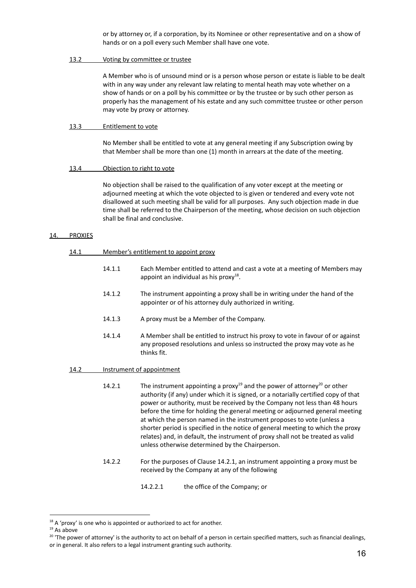or by attorney or, if a corporation, by its Nominee or other representative and on a show of hands or on a poll every such Member shall have one vote.

## 13.2 Voting by committee or trustee

A Member who is of unsound mind or is a person whose person or estate is liable to be dealt with in any way under any relevant law relating to mental heath may vote whether on a show of hands or on a poll by his committee or by the trustee or by such other person as properly has the management of his estate and any such committee trustee or other person may vote by proxy or attorney.

### 13.3 Entitlement to vote

No Member shall be entitled to vote at any general meeting if any Subscription owing by that Member shall be more than one (1) month in arrears at the date of the meeting.

## 13.4 Objection to right to vote

No objection shall be raised to the qualification of any voter except at the meeting or adjourned meeting at which the vote objected to is given or tendered and every vote not disallowed at such meeting shall be valid for all purposes. Any such objection made in due time shall be referred to the Chairperson of the meeting, whose decision on such objection shall be final and conclusive.

#### 14. PROXIES

#### 14.1 Member's entitlement to appoint proxy

- 14.1.1 Each Member entitled to attend and cast a vote at a meeting of Members may appoint an individual as his proxy $^{18}$ .
- 14.1.2 The instrument appointing a proxy shall be in writing under the hand of the appointer or of his attorney duly authorized in writing.
- 14.1.3 A proxy must be a Member of the Company.
- 14.1.4 A Member shall be entitled to instruct his proxy to vote in favour of or against any proposed resolutions and unless so instructed the proxy may vote as he thinks fit.

#### 14.2 Instrument of appointment

14.2.1 The instrument appointing a proxy<sup>19</sup> and the power of attorney<sup>20</sup> or other authority (if any) under which it is signed, or a notarially certified copy of that power or authority, must be received by the Company not less than 48 hours before the time for holding the general meeting or adjourned general meeting at which the person named in the instrument proposes to vote (unless a shorter period is specified in the notice of general meeting to which the proxy relates) and, in default, the instrument of proxy shall not be treated as valid unless otherwise determined by the Chairperson.

- 14.2.2 For the purposes of Clause 14.2.1, an instrument appointing a proxy must be received by the Company at any of the following
	- 14.2.2.1 the office of the Company; or

 $18$  A 'proxy' is one who is appointed or authorized to act for another.

<sup>19</sup> As above

<sup>&</sup>lt;sup>20</sup> 'The power of attorney' is the authority to act on behalf of a person in certain specified matters, such as financial dealings, or in general. It also refers to a legal instrument granting such authority.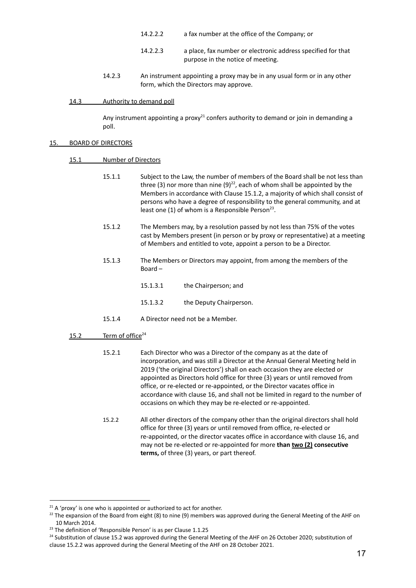- 14.2.2.2 a fax number at the office of the Company; or
- 14.2.2.3 a place, fax number or electronic address specified for that purpose in the notice of meeting.
- 14.2.3 An instrument appointing a proxy may be in any usual form or in any other form, which the Directors may approve.

## 14.3 Authority to demand poll

Any instrument appointing a proxy<sup>21</sup> confers authority to demand or join in demanding a poll.

## 15. BOARD OF DIRECTORS

# 15.1 Number of Directors

- 15.1.1 Subject to the Law, the number of members of the Board shall be not less than three (3) nor more than nine (9)<sup>22</sup>, each of whom shall be appointed by the Members in accordance with Clause 15.1.2, a majority of which shall consist of persons who have a degree of responsibility to the general community, and at least one  $(1)$  of whom is a Responsible Person<sup>23</sup>.
- 15.1.2 The Members may, by a resolution passed by not less than 75% of the votes cast by Members present (in person or by proxy or representative) at a meeting of Members and entitled to vote, appoint a person to be a Director.
- 15.1.3 The Members or Directors may appoint, from among the members of the Board –
	- 15.1.3.1 the Chairperson; and
	- 15.1.3.2 the Deputy Chairperson.
- 15.1.4 A Director need not be a Member.
- 15.2 Term of office<sup>24</sup>
	- 15.2.1 Each Director who was a Director of the company as at the date of incorporation, and was still a Director at the Annual General Meeting held in 2019 ('the original Directors') shall on each occasion they are elected or appointed as Directors hold office for three (3) years or until removed from office, or re-elected or re-appointed, or the Director vacates office in accordance with clause 16, and shall not be limited in regard to the number of occasions on which they may be re-elected or re-appointed.
	- 15.2.2 All other directors of the company other than the original directors shall hold office for three (3) years or until removed from office, re-elected or re-appointed, or the director vacates office in accordance with clause 16, and may not be re-elected or re-appointed for more **than two (2) consecutive terms,** of three (3) years, or part thereof.

 $21$  A 'proxy' is one who is appointed or authorized to act for another.

<sup>&</sup>lt;sup>22</sup> The expansion of the Board from eight (8) to nine (9) members was approved during the General Meeting of the AHF on 10 March 2014.

<sup>&</sup>lt;sup>23</sup> The definition of 'Responsible Person' is as per Clause 1.1.25

<sup>&</sup>lt;sup>24</sup> Substitution of clause 15.2 was approved during the General Meeting of the AHF on 26 October 2020; substitution of clause 15.2.2 was approved during the General Meeting of the AHF on 28 October 2021.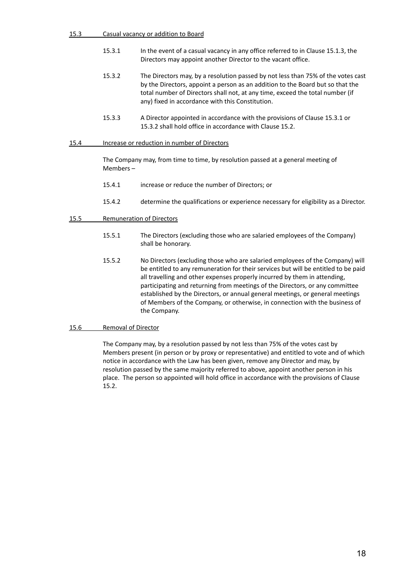| Casual vacancy or addition to Board<br>15.3 |
|---------------------------------------------|
|---------------------------------------------|

- 15.3.1 In the event of a casual vacancy in any office referred to in Clause 15.1.3, the Directors may appoint another Director to the vacant office.
- 15.3.2 The Directors may, by a resolution passed by not less than 75% of the votes cast by the Directors, appoint a person as an addition to the Board but so that the total number of Directors shall not, at any time, exceed the total number (if any) fixed in accordance with this Constitution.
- 15.3.3 A Director appointed in accordance with the provisions of Clause 15.3.1 or 15.3.2 shall hold office in accordance with Clause 15.2.

## 15.4 Increase or reduction in number of Directors

The Company may, from time to time, by resolution passed at a general meeting of Members –

- 15.4.1 increase or reduce the number of Directors; or
- 15.4.2 determine the qualifications or experience necessary for eligibility as a Director.

# 15.5 Remuneration of Directors

- 15.5.1 The Directors (excluding those who are salaried employees of the Company) shall be honorary.
- 15.5.2 No Directors (excluding those who are salaried employees of the Company) will be entitled to any remuneration for their services but will be entitled to be paid all travelling and other expenses properly incurred by them in attending, participating and returning from meetings of the Directors, or any committee established by the Directors, or annual general meetings, or general meetings of Members of the Company, or otherwise, in connection with the business of the Company.

## 15.6 Removal of Director

The Company may, by a resolution passed by not less than 75% of the votes cast by Members present (in person or by proxy or representative) and entitled to vote and of which notice in accordance with the Law has been given, remove any Director and may, by resolution passed by the same majority referred to above, appoint another person in his place. The person so appointed will hold office in accordance with the provisions of Clause 15.2.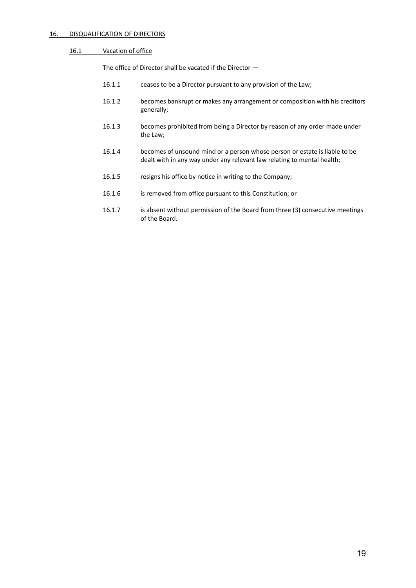# 16. DISQUALIFICATION OF DIRECTORS

# 16.1 Vacation of office

The office of Director shall be vacated if the Director —

- 16.1.1 ceases to be a Director pursuant to any provision of the Law;
- 16.1.2 becomes bankrupt or makes any arrangement or composition with his creditors generally;
- 16.1.3 becomes prohibited from being a Director by reason of any order made under the Law;
- 16.1.4 becomes of unsound mind or a person whose person or estate is liable to be dealt with in any way under any relevant law relating to mental health;
- 16.1.5 resigns his office by notice in writing to the Company;
- 16.1.6 is removed from office pursuant to this Constitution; or
- 16.1.7 is absent without permission of the Board from three (3) consecutive meetings of the Board.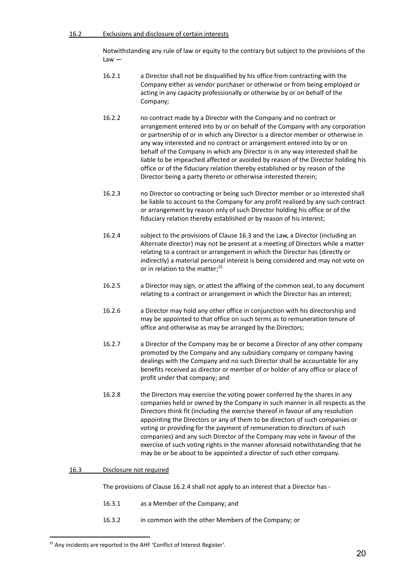## 16.2 Exclusions and disclosure of certain interests

Notwithstanding any rule of law or equity to the contrary but subject to the provisions of the  $Law -$ 

- 16.2.1 a Director shall not be disqualified by his office from contracting with the Company either as vendor purchaser or otherwise or from being employed or acting in any capacity professionally or otherwise by or on behalf of the Company;
- 16.2.2 no contract made by a Director with the Company and no contract or arrangement entered into by or on behalf of the Company with any corporation or partnership of or in which any Director is a director member or otherwise in any way interested and no contract or arrangement entered into by or on behalf of the Company in which any Director is in any way interested shall be liable to be impeached affected or avoided by reason of the Director holding his office or of the fiduciary relation thereby established or by reason of the Director being a party thereto or otherwise interested therein;
- 16.2.3 no Director so contracting or being such Director member or so interested shall be liable to account to the Company for any profit realised by any such contract or arrangement by reason only of such Director holding his office or of the fiduciary relation thereby established or by reason of his interest;
- 16.2.4 subject to the provisions of Clause 16.3 and the Law, a Director (including an Alternate director) may not be present at a meeting of Directors while a matter relating to a contract or arrangement in which the Director has (directly or indirectly) a material personal interest is being considered and may not vote on or in relation to the matter;<sup>25</sup>
- 16.2.5 a Director may sign, or attest the affixing of the common seal, to any document relating to a contract or arrangement in which the Director has an interest;
- 16.2.6 a Director may hold any other office in conjunction with his directorship and may be appointed to that office on such terms as to remuneration tenure of office and otherwise as may be arranged by the Directors;
- 16.2.7 a Director of the Company may be or become a Director of any other company promoted by the Company and any subsidiary company or company having dealings with the Company and no such Director shall be accountable for any benefits received as director or member of or holder of any office or place of profit under that company; and
- 16.2.8 the Directors may exercise the voting power conferred by the shares in any companies held or owned by the Company in such manner in all respects as the Directors think fit (including the exercise thereof in favour of any resolution appointing the Directors or any of them to be directors of such companies or voting or providing for the payment of remuneration to directors of such companies) and any such Director of the Company may vote in favour of the exercise of such voting rights in the manner aforesaid notwithstanding that he may be or be about to be appointed a director of such other company.

## 16.3 Disclosure not required

The provisions of Clause 16.2.4 shall not apply to an interest that a Director has -

- 16.3.1 as a Member of the Company; and
- 16.3.2 in common with the other Members of the Company; or

<sup>&</sup>lt;sup>25</sup> Any incidents are reported in the AHF 'Conflict of Interest Register'.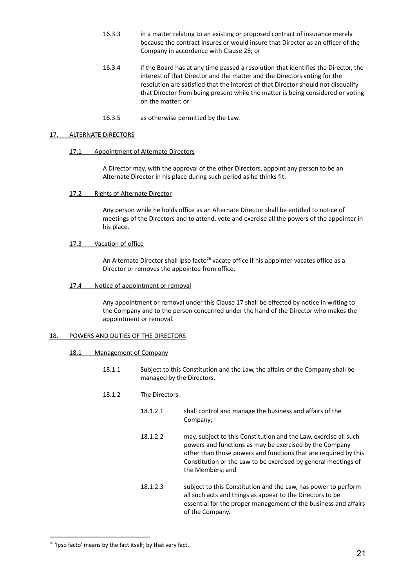- 16.3.3 in a matter relating to an existing or proposed contract of insurance merely because the contract insures or would insure that Director as an officer of the Company in accordance with Clause 28; or
- 16.3.4 if the Board has at any time passed a resolution that identifies the Director, the interest of that Director and the matter and the Directors voting for the resolution are satisfied that the interest of that Director should not disqualify that Director from being present while the matter is being considered or voting on the matter; or
- 16.3.5 as otherwise permitted by the Law.

#### 17. ALTERNATE DIRECTORS

#### 17.1 Appointment of Alternate Directors

A Director may, with the approval of the other Directors, appoint any person to be an Alternate Director in his place during such period as he thinks fit.

17.2 Rights of Alternate Director

Any person while he holds office as an Alternate Director shall be entitled to notice of meetings of the Directors and to attend, vote and exercise all the powers of the appointer in his place.

#### 17.3 Vacation of office

An Alternate Director shall ipso facto<sup>26</sup> vacate office if his appointer vacates office as a Director or removes the appointee from office.

17.4 Notice of appointment or removal

Any appointment or removal under this Clause 17 shall be effected by notice in writing to the Company and to the person concerned under the hand of the Director who makes the appointment or removal.

# <span id="page-23-0"></span>18. POWERS AND DUTIES OF THE DIRECTORS

#### 18.1 Management of Company

- 18.1.1 Subject to this Constitution and the Law, the affairs of the Company shall be managed by the Directors.
- 18.1.2 The Directors
	- 18.1.2.1 shall control and manage the business and affairs of the Company;
	- 18.1.2.2 may, subject to this Constitution and the Law, exercise all such powers and functions as may be exercised by the Company other than those powers and functions that are required by this Constitution or the Law to be exercised by general meetings of the Members; and
	- 18.1.2.3 subject to this Constitution and the Law, has power to perform all such acts and things as appear to the Directors to be essential for the proper management of the business and affairs of the Company.

<sup>&</sup>lt;sup>26</sup> 'Ipso facto' means by the fact itself; by that very fact.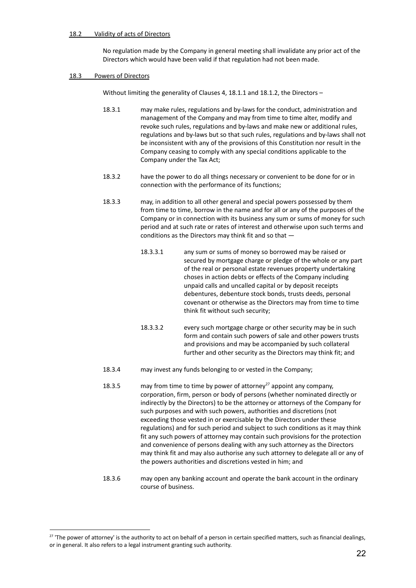# 18.2 Validity of acts of Directors

No regulation made by the Company in general meeting shall invalidate any prior act of the Directors which would have been valid if that regulation had not been made.

### 18.3 Powers of Directors

Without limiting the generality of Clauses 4, 18.1.1 and 18.1.2, the Directors –

- 18.3.1 may make rules, regulations and by-laws for the conduct, administration and management of the Company and may from time to time alter, modify and revoke such rules, regulations and by-laws and make new or additional rules, regulations and by-laws but so that such rules, regulations and by-laws shall not be inconsistent with any of the provisions of this Constitution nor result in the Company ceasing to comply with any special conditions applicable to the Company under the Tax Act;
- 18.3.2 have the power to do all things necessary or convenient to be done for or in connection with the performance of its functions;
- 18.3.3 may, in addition to all other general and special powers possessed by them from time to time, borrow in the name and for all or any of the purposes of the Company or in connection with its business any sum or sums of money for such period and at such rate or rates of interest and otherwise upon such terms and conditions as the Directors may think fit and so that —
	- 18.3.3.1 any sum or sums of money so borrowed may be raised or secured by mortgage charge or pledge of the whole or any part of the real or personal estate revenues property undertaking choses in action debts or effects of the Company including unpaid calls and uncalled capital or by deposit receipts debentures, debenture stock bonds, trusts deeds, personal covenant or otherwise as the Directors may from time to time think fit without such security;
	- 18.3.3.2 every such mortgage charge or other security may be in such form and contain such powers of sale and other powers trusts and provisions and may be accompanied by such collateral further and other security as the Directors may think fit; and
- 18.3.4 may invest any funds belonging to or vested in the Company;
- 18.3.5 may from time to time by power of attorney<sup>27</sup> appoint any company, corporation, firm, person or body of persons (whether nominated directly or indirectly by the Directors) to be the attorney or attorneys of the Company for such purposes and with such powers, authorities and discretions (not exceeding those vested in or exercisable by the Directors under these regulations) and for such period and subject to such conditions as it may think fit any such powers of attorney may contain such provisions for the protection and convenience of persons dealing with any such attorney as the Directors may think fit and may also authorise any such attorney to delegate all or any of the powers authorities and discretions vested in him; and
- 18.3.6 may open any banking account and operate the bank account in the ordinary course of business.

 $27$  'The power of attorney' is the authority to act on behalf of a person in certain specified matters, such as financial dealings, or in general. It also refers to a legal instrument granting such authority.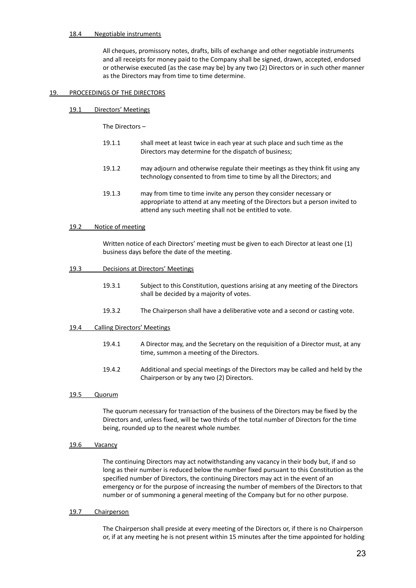#### 18.4 Negotiable instruments

All cheques, promissory notes, drafts, bills of exchange and other negotiable instruments and all receipts for money paid to the Company shall be signed, drawn, accepted, endorsed or otherwise executed (as the case may be) by any two (2) Directors or in such other manner as the Directors may from time to time determine.

#### 19. PROCEEDINGS OF THE DIRECTORS

19.1 Directors' Meetings

The Directors –

- 19.1.1 shall meet at least twice in each year at such place and such time as the Directors may determine for the dispatch of business;
- 19.1.2 may adjourn and otherwise regulate their meetings as they think fit using any technology consented to from time to time by all the Directors; and
- 19.1.3 may from time to time invite any person they consider necessary or appropriate to attend at any meeting of the Directors but a person invited to attend any such meeting shall not be entitled to vote.

#### 19.2 Notice of meeting

Written notice of each Directors' meeting must be given to each Director at least one (1) business days before the date of the meeting.

#### 19.3 Decisions at Directors' Meetings

- 19.3.1 Subject to this Constitution, questions arising at any meeting of the Directors shall be decided by a majority of votes.
- 19.3.2 The Chairperson shall have a deliberative vote and a second or casting vote.

## 19.4 Calling Directors' Meetings

- 19.4.1 A Director may, and the Secretary on the requisition of a Director must, at any time, summon a meeting of the Directors.
- 19.4.2 Additional and special meetings of the Directors may be called and held by the Chairperson or by any two (2) Directors.

#### 19.5 Quorum

The quorum necessary for transaction of the business of the Directors may be fixed by the Directors and, unless fixed, will be two thirds of the total number of Directors for the time being, rounded up to the nearest whole number.

19.6 Vacancy

The continuing Directors may act notwithstanding any vacancy in their body but, if and so long as their number is reduced below the number fixed pursuant to this Constitution as the specified number of Directors, the continuing Directors may act in the event of an emergency or for the purpose of increasing the number of members of the Directors to that number or of summoning a general meeting of the Company but for no other purpose.

#### 19.7 Chairperson

The Chairperson shall preside at every meeting of the Directors or, if there is no Chairperson or, if at any meeting he is not present within 15 minutes after the time appointed for holding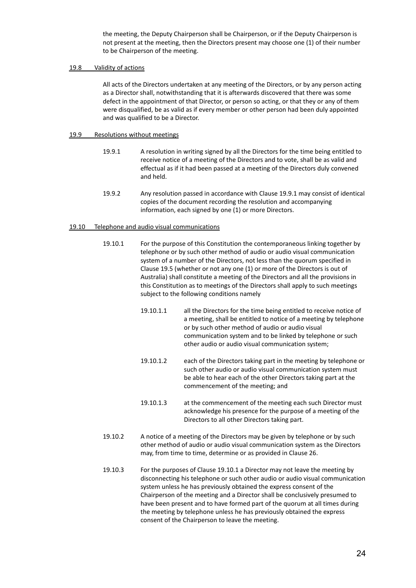the meeting, the Deputy Chairperson shall be Chairperson, or if the Deputy Chairperson is not present at the meeting, then the Directors present may choose one (1) of their number to be Chairperson of the meeting.

# 19.8 Validity of actions

All acts of the Directors undertaken at any meeting of the Directors, or by any person acting as a Director shall, notwithstanding that it is afterwards discovered that there was some defect in the appointment of that Director, or person so acting, or that they or any of them were disqualified, be as valid as if every member or other person had been duly appointed and was qualified to be a Director.

# 19.9 Resolutions without meetings

- 19.9.1 A resolution in writing signed by all the Directors for the time being entitled to receive notice of a meeting of the Directors and to vote, shall be as valid and effectual as if it had been passed at a meeting of the Directors duly convened and held.
- 19.9.2 Any resolution passed in accordance with Clause 19.9.1 may consist of identical copies of the document recording the resolution and accompanying information, each signed by one (1) or more Directors.

# 19.10 Telephone and audio visual communications

- 19.10.1 For the purpose of this Constitution the contemporaneous linking together by telephone or by such other method of audio or audio visual communication system of a number of the Directors, not less than the quorum specified in Clause 19.5 (whether or not any one (1) or more of the Directors is out of Australia) shall constitute a meeting of the Directors and all the provisions in this Constitution as to meetings of the Directors shall apply to such meetings subject to the following conditions namely
	- 19.10.1.1 all the Directors for the time being entitled to receive notice of a meeting, shall be entitled to notice of a meeting by telephone or by such other method of audio or audio visual communication system and to be linked by telephone or such other audio or audio visual communication system;
	- 19.10.1.2 each of the Directors taking part in the meeting by telephone or such other audio or audio visual communication system must be able to hear each of the other Directors taking part at the commencement of the meeting; and
	- 19.10.1.3 at the commencement of the meeting each such Director must acknowledge his presence for the purpose of a meeting of the Directors to all other Directors taking part.
- 19.10.2 A notice of a meeting of the Directors may be given by telephone or by such other method of audio or audio visual communication system as the Directors may, from time to time, determine or as provided in Clause 26.
- 19.10.3 For the purposes of Clause 19.10.1 a Director may not leave the meeting by disconnecting his telephone or such other audio or audio visual communication system unless he has previously obtained the express consent of the Chairperson of the meeting and a Director shall be conclusively presumed to have been present and to have formed part of the quorum at all times during the meeting by telephone unless he has previously obtained the express consent of the Chairperson to leave the meeting.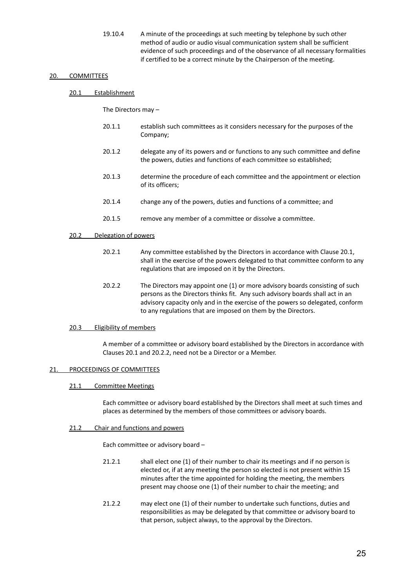19.10.4 A minute of the proceedings at such meeting by telephone by such other method of audio or audio visual communication system shall be sufficient evidence of such proceedings and of the observance of all necessary formalities if certified to be a correct minute by the Chairperson of the meeting.

## 20. COMMITTEES

### 20.1 Establishment

The Directors may –

- 20.1.1 establish such committees as it considers necessary for the purposes of the Company;
- 20.1.2 delegate any of its powers and or functions to any such committee and define the powers, duties and functions of each committee so established;
- 20.1.3 determine the procedure of each committee and the appointment or election of its officers;
- 20.1.4 change any of the powers, duties and functions of a committee; and
- 20.1.5 remove any member of a committee or dissolve a committee.

#### 20.2 Delegation of powers

- 20.2.1 Any committee established by the Directors in accordance with Clause 20.1, shall in the exercise of the powers delegated to that committee conform to any regulations that are imposed on it by the Directors.
- 20.2.2 The Directors may appoint one (1) or more advisory boards consisting of such persons as the Directors thinks fit. Any such advisory boards shall act in an advisory capacity only and in the exercise of the powers so delegated, conform to any regulations that are imposed on them by the Directors.

#### 20.3 Eligibility of members

A member of a committee or advisory board established by the Directors in accordance with Clauses 20.1 and 20.2.2, need not be a Director or a Member.

#### <span id="page-27-0"></span>21. PROCEEDINGS OF COMMITTEES

#### 21.1 Committee Meetings

Each committee or advisory board established by the Directors shall meet at such times and places as determined by the members of those committees or advisory boards.

#### 21.2 Chair and functions and powers

Each committee or advisory board –

- 21.2.1 shall elect one (1) of their number to chair its meetings and if no person is elected or, if at any meeting the person so elected is not present within 15 minutes after the time appointed for holding the meeting, the members present may choose one (1) of their number to chair the meeting; and
- 21.2.2 may elect one (1) of their number to undertake such functions, duties and responsibilities as may be delegated by that committee or advisory board to that person, subject always, to the approval by the Directors.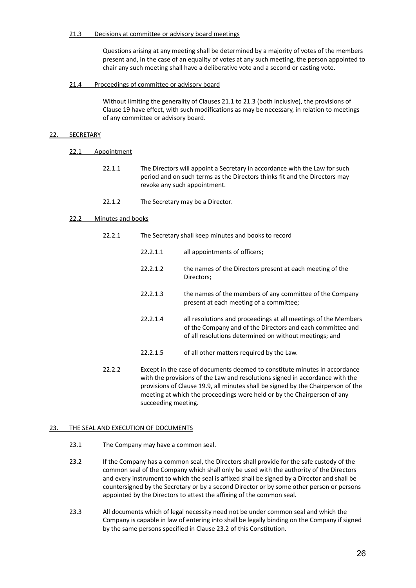### 21.3 Decisions at committee or advisory board meetings

Questions arising at any meeting shall be determined by a majority of votes of the members present and, in the case of an equality of votes at any such meeting, the person appointed to chair any such meeting shall have a deliberative vote and a second or casting vote.

### 21.4 Proceedings of committee or advisory board

Without limiting the generality of Clauses 21.1 to 21.3 (both inclusive), the provisions of Clause 19 have effect, with such modifications as may be necessary, in relation to meetings of any committee or advisory board.

## 22. SECRETARY

- 22.1 Appointment
	- 22.1.1 The Directors will appoint a Secretary in accordance with the Law for such period and on such terms as the Directors thinks fit and the Directors may revoke any such appointment.
	- 22.1.2 The Secretary may be a Director.

## 22.2 Minutes and books

- 22.2.1 The Secretary shall keep minutes and books to record
	- 22.2.1.1 all appointments of officers;
	- 22.2.1.2 the names of the Directors present at each meeting of the Directors;
	- 22.2.1.3 the names of the members of any committee of the Company present at each meeting of a committee;
	- 22.2.1.4 all resolutions and proceedings at all meetings of the Members of the Company and of the Directors and each committee and of all resolutions determined on without meetings; and
	- 22.2.1.5 of all other matters required by the Law.
- 22.2.2 Except in the case of documents deemed to constitute minutes in accordance with the provisions of the Law and resolutions signed in accordance with the provisions of Clause 19.9, all minutes shall be signed by the Chairperson of the meeting at which the proceedings were held or by the Chairperson of any succeeding meeting.

#### <span id="page-28-0"></span>23. THE SEAL AND EXECUTION OF DOCUMENTS

- 23.1 The Company may have a common seal.
- 23.2 If the Company has a common seal, the Directors shall provide for the safe custody of the common seal of the Company which shall only be used with the authority of the Directors and every instrument to which the seal is affixed shall be signed by a Director and shall be countersigned by the Secretary or by a second Director or by some other person or persons appointed by the Directors to attest the affixing of the common seal.
- <span id="page-28-1"></span>23.3 All documents which of legal necessity need not be under common seal and which the Company is capable in law of entering into shall be legally binding on the Company if signed by the same persons specified in Clause 23.2 of this Constitution.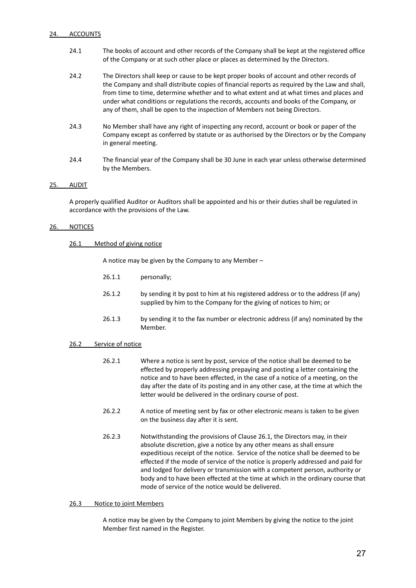## 24. ACCOUNTS

- 24.1 The books of account and other records of the Company shall be kept at the registered office of the Company or at such other place or places as determined by the Directors.
- 24.2 The Directors shall keep or cause to be kept proper books of account and other records of the Company and shall distribute copies of financial reports as required by the Law and shall, from time to time, determine whether and to what extent and at what times and places and under what conditions or regulations the records, accounts and books of the Company, or any of them, shall be open to the inspection of Members not being Directors.
- 24.3 No Member shall have any right of inspecting any record, account or book or paper of the Company except as conferred by statute or as authorised by the Directors or by the Company in general meeting.
- 24.4 The financial year of the Company shall be 30 June in each year unless otherwise determined by the Members.

## 25. AUDIT

A properly qualified Auditor or Auditors shall be appointed and his or their duties shall be regulated in accordance with the provisions of the Law.

## 26. NOTICES

#### 26.1 Method of giving notice

A notice may be given by the Company to any Member –

- 26.1.1 personally;
- 26.1.2 by sending it by post to him at his registered address or to the address (if any) supplied by him to the Company for the giving of notices to him; or
- 26.1.3 by sending it to the fax number or electronic address (if any) nominated by the Member.

## 26.2 Service of notice

- 26.2.1 Where a notice is sent by post, service of the notice shall be deemed to be effected by properly addressing prepaying and posting a letter containing the notice and to have been effected, in the case of a notice of a meeting, on the day after the date of its posting and in any other case, at the time at which the letter would be delivered in the ordinary course of post.
- 26.2.2 A notice of meeting sent by fax or other electronic means is taken to be given on the business day after it is sent.
- 26.2.3 Notwithstanding the provisions of Clause 26.1, the Directors may, in their absolute discretion, give a notice by any other means as shall ensure expeditious receipt of the notice. Service of the notice shall be deemed to be effected if the mode of service of the notice is properly addressed and paid for and lodged for delivery or transmission with a competent person, authority or body and to have been effected at the time at which in the ordinary course that mode of service of the notice would be delivered.

#### 26.3 Notice to joint Members

A notice may be given by the Company to joint Members by giving the notice to the joint Member first named in the Register.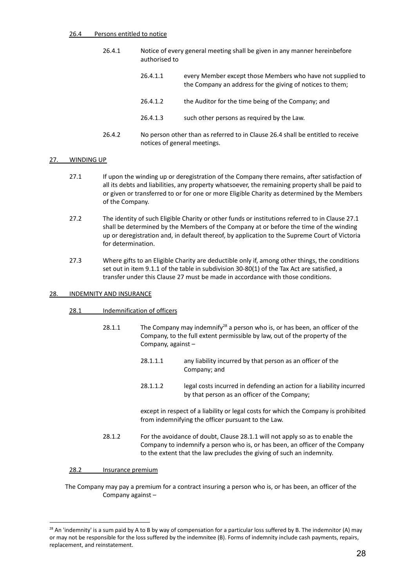#### 26.4 Persons entitled to notice

- 26.4.1 Notice of every general meeting shall be given in any manner hereinbefore authorised to
	- 26.4.1.1 every Member except those Members who have not supplied to the Company an address for the giving of notices to them;
	- 26.4.1.2 the Auditor for the time being of the Company; and
	- 26.4.1.3 such other persons as required by the Law.
- 26.4.2 No person other than as referred to in Clause 26.4 shall be entitled to receive notices of general meetings.

## 27. WINDING UP

- 27.1 If upon the winding up or deregistration of the Company there remains, after satisfaction of all its debts and liabilities, any property whatsoever, the remaining property shall be paid to or given or transferred to or for one or more Eligible Charity as determined by the Members of the Company.
- 27.2 The identity of such Eligible Charity or other funds or institutions referred to in Clause 27.1 shall be determined by the Members of the Company at or before the time of the winding up or deregistration and, in default thereof, by application to the Supreme Court of Victoria for determination.
- 27.3 Where gifts to an Eligible Charity are deductible only if, among other things, the conditions set out in item 9.1.1 of the table in subdivision 30-80(1) of the Tax Act are satisfied, a transfer under this Clause 27 must be made in accordance with those conditions.

#### 28. INDEMNITY AND INSURANCE

## 28.1 Indemnification of officers

- 28.1.1 The Company may indemnify<sup>28</sup> a person who is, or has been, an officer of the Company, to the full extent permissible by law, out of the property of the Company, against –
	- 28.1.1.1 any liability incurred by that person as an officer of the Company; and
	- 28.1.1.2 legal costs incurred in defending an action for a liability incurred by that person as an officer of the Company;

except in respect of a liability or legal costs for which the Company is prohibited from indemnifying the officer pursuant to the Law.

28.1.2 For the avoidance of doubt, Clause 28.1.1 will not apply so as to enable the Company to indemnify a person who is, or has been, an officer of the Company to the extent that the law precludes the giving of such an indemnity.

#### 28.2 Insurance premium

The Company may pay a premium for a contract insuring a person who is, or has been, an officer of the Company against –

<sup>&</sup>lt;sup>28</sup> An 'indemnity' is a sum paid by A to B by way of compensation for a particular loss suffered by B. The indemnitor (A) may or may not be responsible for the loss suffered by the indemnitee (B). Forms of indemnity include cash payments, repairs, replacement, and reinstatement.